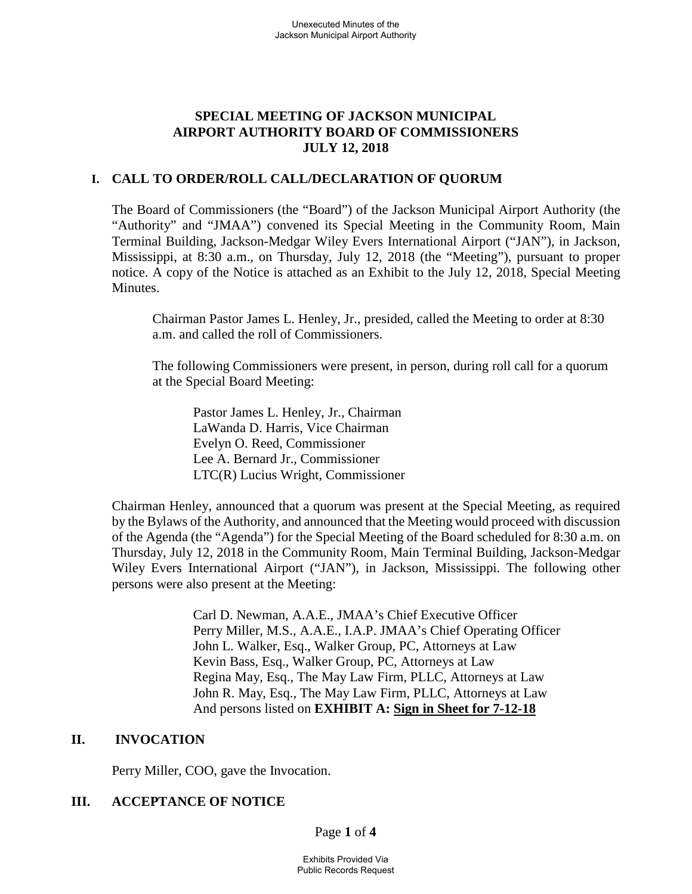# **SPECIAL MEETING OF JACKSON MUNICIPAL AIRPORT AUTHORITY BOARD OF COMMISSIONERS JULY 12, 2018**

## **I. CALL TO ORDER/ROLL CALL/DECLARATION OF QUORUM**

The Board of Commissioners (the "Board") of the Jackson Municipal Airport Authority (the "Authority" and "JMAA") convened its Special Meeting in the Community Room, Main Terminal Building, Jackson-Medgar Wiley Evers International Airport ("JAN"), in Jackson, Mississippi, at 8:30 a.m., on Thursday, July 12, 2018 (the "Meeting"), pursuant to proper notice. A copy of the Notice is attached as an Exhibit to the July 12, 2018, Special Meeting **Minutes** 

Chairman Pastor James L. Henley, Jr., presided, called the Meeting to order at 8:30 a.m. and called the roll of Commissioners.

The following Commissioners were present, in person, during roll call for a quorum at the Special Board Meeting:

Pastor James L. Henley, Jr., Chairman LaWanda D. Harris, Vice Chairman Evelyn O. Reed, Commissioner Lee A. Bernard Jr., Commissioner LTC(R) Lucius Wright, Commissioner

Chairman Henley, announced that a quorum was present at the Special Meeting, as required by the Bylaws of the Authority, and announced that the Meeting would proceed with discussion of the Agenda (the "Agenda") for the Special Meeting of the Board scheduled for 8:30 a.m. on Thursday, July 12, 2018 in the Community Room, Main Terminal Building, Jackson-Medgar Wiley Evers International Airport ("JAN"), in Jackson, Mississippi. The following other persons were also present at the Meeting:

> Carl D. Newman, A.A.E., JMAA's Chief Executive Officer Perry Miller, M.S., A.A.E., I.A.P. JMAA's Chief Operating Officer John L. Walker, Esq., Walker Group, PC, Attorneys at Law Kevin Bass, Esq., Walker Group, PC, Attorneys at Law Regina May, Esq., The May Law Firm, PLLC, Attorneys at Law John R. May, Esq., The May Law Firm, PLLC, Attorneys at Law And persons listed on **EXHIBIT A: Sign in Sheet for 7-12-18**

## **II. INVOCATION**

Perry Miller, COO, gave the Invocation.

# **III. ACCEPTANCE OF NOTICE**

Page **1** of **4**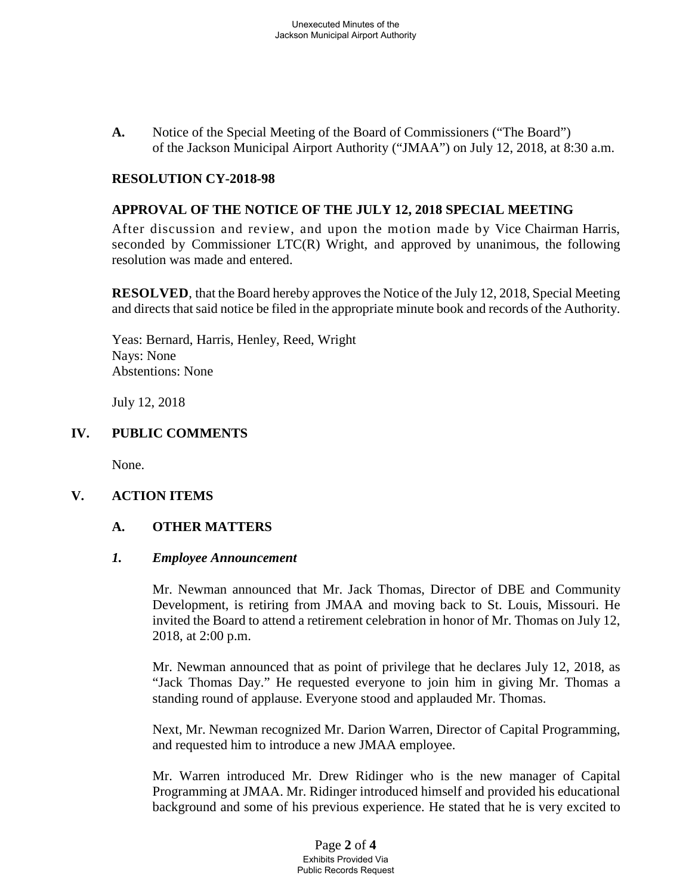**A.** Notice of the Special Meeting of the Board of Commissioners ("The Board") of the Jackson Municipal Airport Authority ("JMAA") on July 12, 2018, at 8:30 a.m.

#### **RESOLUTION CY-2018-98**

#### **APPROVAL OF THE NOTICE OF THE JULY 12, 2018 SPECIAL MEETING**

After discussion and review, and upon the motion made by Vice Chairman Harris, seconded by Commissioner LTC(R) Wright, and approved by unanimous, the following resolution was made and entered.

**RESOLVED**, that the Board hereby approves the Notice of the July 12, 2018, Special Meeting and directs that said notice be filed in the appropriate minute book and records of the Authority.

Yeas: Bernard, Harris, Henley, Reed, Wright Nays: None Abstentions: None

July 12, 2018

#### **IV. PUBLIC COMMENTS**

None.

#### **V. ACTION ITEMS**

#### **A. OTHER MATTERS**

#### *1. Employee Announcement*

Mr. Newman announced that Mr. Jack Thomas, Director of DBE and Community Development, is retiring from JMAA and moving back to St. Louis, Missouri. He invited the Board to attend a retirement celebration in honor of Mr. Thomas on July 12, 2018, at 2:00 p.m.

Mr. Newman announced that as point of privilege that he declares July 12, 2018, as "Jack Thomas Day." He requested everyone to join him in giving Mr. Thomas a standing round of applause. Everyone stood and applauded Mr. Thomas.

Next, Mr. Newman recognized Mr. Darion Warren, Director of Capital Programming, and requested him to introduce a new JMAA employee.

Mr. Warren introduced Mr. Drew Ridinger who is the new manager of Capital Programming at JMAA. Mr. Ridinger introduced himself and provided his educational background and some of his previous experience. He stated that he is very excited to

> Page **2** of **4** Exhibits Provided Via Public Records Request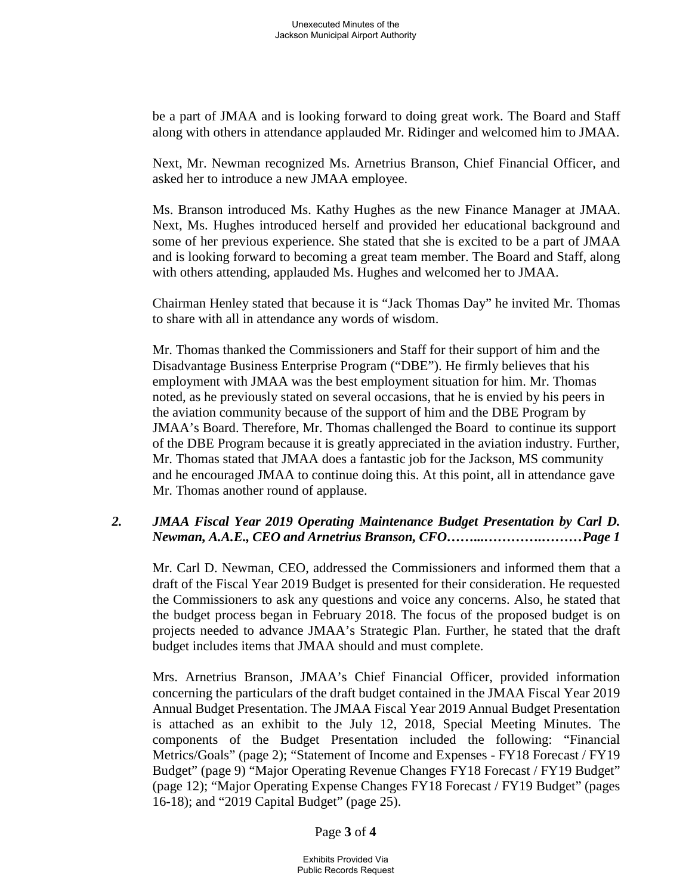be a part of JMAA and is looking forward to doing great work. The Board and Staff along with others in attendance applauded Mr. Ridinger and welcomed him to JMAA.

Next, Mr. Newman recognized Ms. Arnetrius Branson, Chief Financial Officer, and asked her to introduce a new JMAA employee.

Ms. Branson introduced Ms. Kathy Hughes as the new Finance Manager at JMAA. Next, Ms. Hughes introduced herself and provided her educational background and some of her previous experience. She stated that she is excited to be a part of JMAA and is looking forward to becoming a great team member. The Board and Staff, along with others attending, applauded Ms. Hughes and welcomed her to JMAA.

Chairman Henley stated that because it is "Jack Thomas Day" he invited Mr. Thomas to share with all in attendance any words of wisdom.

Mr. Thomas thanked the Commissioners and Staff for their support of him and the Disadvantage Business Enterprise Program ("DBE"). He firmly believes that his employment with JMAA was the best employment situation for him. Mr. Thomas noted, as he previously stated on several occasions, that he is envied by his peers in the aviation community because of the support of him and the DBE Program by JMAA's Board. Therefore, Mr. Thomas challenged the Board to continue its support of the DBE Program because it is greatly appreciated in the aviation industry. Further, Mr. Thomas stated that JMAA does a fantastic job for the Jackson, MS community and he encouraged JMAA to continue doing this. At this point, all in attendance gave Mr. Thomas another round of applause.

# *2. JMAA Fiscal Year 2019 Operating Maintenance Budget Presentation by Carl D. Newman, A.A.E., CEO and Arnetrius Branson, CFO……...………….………Page 1*

Mr. Carl D. Newman, CEO, addressed the Commissioners and informed them that a draft of the Fiscal Year 2019 Budget is presented for their consideration. He requested the Commissioners to ask any questions and voice any concerns. Also, he stated that the budget process began in February 2018. The focus of the proposed budget is on projects needed to advance JMAA's Strategic Plan. Further, he stated that the draft budget includes items that JMAA should and must complete.

Mrs. Arnetrius Branson, JMAA's Chief Financial Officer, provided information concerning the particulars of the draft budget contained in the JMAA Fiscal Year 2019 Annual Budget Presentation. The JMAA Fiscal Year 2019 Annual Budget Presentation is attached as an exhibit to the July 12, 2018, Special Meeting Minutes. The components of the Budget Presentation included the following: "Financial Metrics/Goals" (page 2); "Statement of Income and Expenses - FY18 Forecast / FY19 Budget" (page 9) "Major Operating Revenue Changes FY18 Forecast / FY19 Budget" (page 12); "Major Operating Expense Changes FY18 Forecast / FY19 Budget" (pages 16-18); and "2019 Capital Budget" (page 25).

Page **3** of **4**